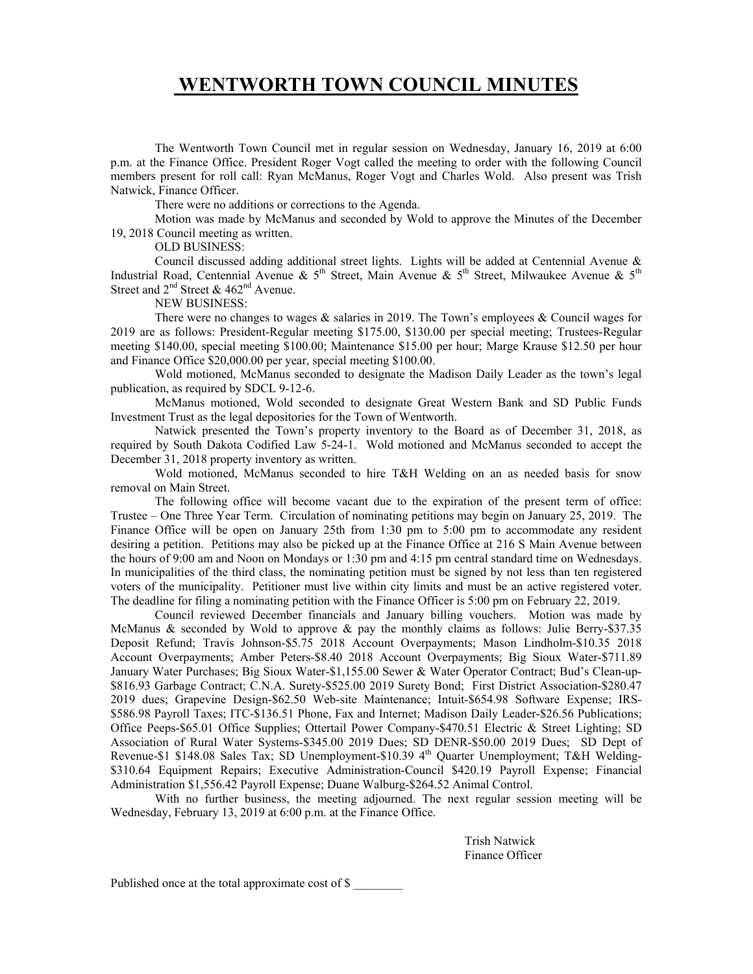The Wentworth Town Council met in regular session on Wednesday, January 16, 2019 at 6:00 p.m. at the Finance Office. President Roger Vogt called the meeting to order with the following Council members present for roll call: Ryan McManus, Roger Vogt and Charles Wold. Also present was Trish Natwick, Finance Officer.

There were no additions or corrections to the Agenda.

 Motion was made by McManus and seconded by Wold to approve the Minutes of the December 19, 2018 Council meeting as written.

OLD BUSINESS:

 Council discussed adding additional street lights. Lights will be added at Centennial Avenue & Industrial Road, Centennial Avenue & 5<sup>th</sup> Street, Main Avenue & 5<sup>th</sup> Street, Milwaukee Avenue & 5<sup>th</sup> Street and  $2<sup>nd</sup>$  Street & 462<sup>nd</sup> Avenue.

NEW BUSINESS:

There were no changes to wages & salaries in 2019. The Town's employees & Council wages for 2019 are as follows: President-Regular meeting \$175.00, \$130.00 per special meeting; Trustees-Regular meeting \$140.00, special meeting \$100.00; Maintenance \$15.00 per hour; Marge Krause \$12.50 per hour and Finance Office \$20,000.00 per year, special meeting \$100.00.

Wold motioned, McManus seconded to designate the Madison Daily Leader as the town's legal publication, as required by SDCL 9-12-6.

McManus motioned, Wold seconded to designate Great Western Bank and SD Public Funds Investment Trust as the legal depositories for the Town of Wentworth.

Natwick presented the Town's property inventory to the Board as of December 31, 2018, as required by South Dakota Codified Law 5-24-1. Wold motioned and McManus seconded to accept the December 31, 2018 property inventory as written.

Wold motioned, McManus seconded to hire T&H Welding on an as needed basis for snow removal on Main Street.

The following office will become vacant due to the expiration of the present term of office: Trustee – One Three Year Term. Circulation of nominating petitions may begin on January 25, 2019. The Finance Office will be open on January 25th from 1:30 pm to 5:00 pm to accommodate any resident desiring a petition. Petitions may also be picked up at the Finance Office at 216 S Main Avenue between the hours of 9:00 am and Noon on Mondays or 1:30 pm and 4:15 pm central standard time on Wednesdays. In municipalities of the third class, the nominating petition must be signed by not less than ten registered voters of the municipality. Petitioner must live within city limits and must be an active registered voter. The deadline for filing a nominating petition with the Finance Officer is 5:00 pm on February 22, 2019.

Council reviewed December financials and January billing vouchers. Motion was made by McManus & seconded by Wold to approve & pay the monthly claims as follows: Julie Berry-\$37.35 Deposit Refund; Travis Johnson-\$5.75 2018 Account Overpayments; Mason Lindholm-\$10.35 2018 Account Overpayments; Amber Peters-\$8.40 2018 Account Overpayments; Big Sioux Water-\$711.89 January Water Purchases; Big Sioux Water-\$1,155.00 Sewer & Water Operator Contract; Bud's Clean-up- \$816.93 Garbage Contract; C.N.A. Surety-\$525.00 2019 Surety Bond; First District Association-\$280.47 2019 dues; Grapevine Design-\$62.50 Web-site Maintenance; Intuit-\$654.98 Software Expense; IRS- \$586.98 Payroll Taxes; ITC-\$136.51 Phone, Fax and Internet; Madison Daily Leader-\$26.56 Publications; Office Peeps-\$65.01 Office Supplies; Ottertail Power Company-\$470.51 Electric & Street Lighting; SD Association of Rural Water Systems-\$345.00 2019 Dues; SD DENR-\$50.00 2019 Dues; SD Dept of Revenue-\$1 \$148.08 Sales Tax; SD Unemployment-\$10.39 4<sup>th</sup> Quarter Unemployment; T&H Welding-\$310.64 Equipment Repairs; Executive Administration-Council \$420.19 Payroll Expense; Financial Administration \$1,556.42 Payroll Expense; Duane Walburg-\$264.52 Animal Control.

 With no further business, the meeting adjourned. The next regular session meeting will be Wednesday, February 13, 2019 at 6:00 p.m. at the Finance Office.

> Trish Natwick Finance Officer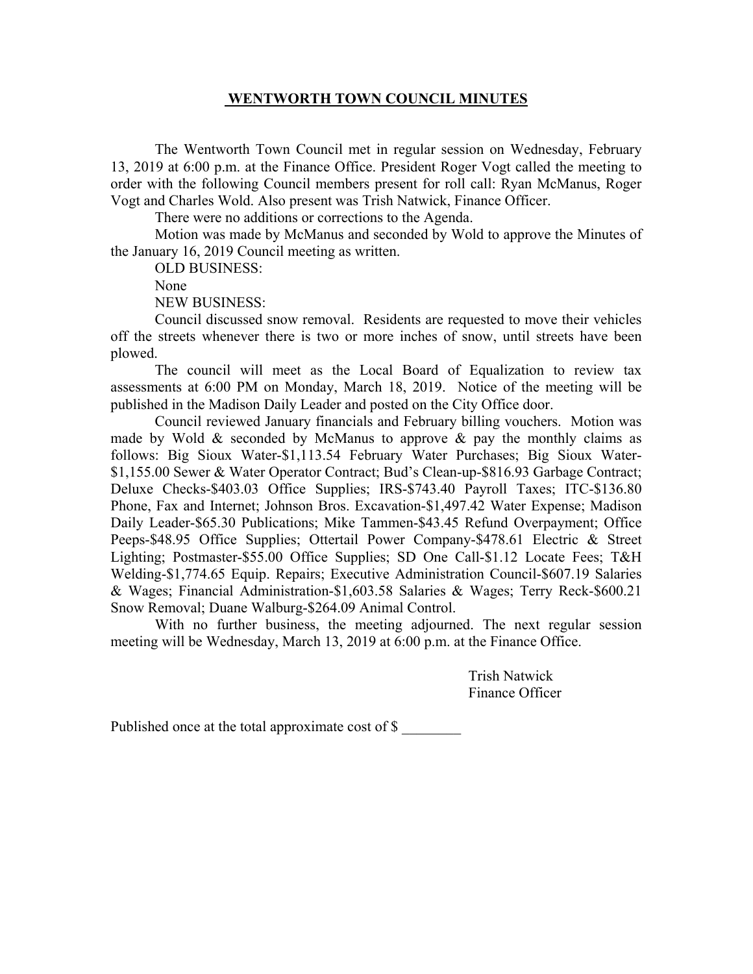The Wentworth Town Council met in regular session on Wednesday, February 13, 2019 at 6:00 p.m. at the Finance Office. President Roger Vogt called the meeting to order with the following Council members present for roll call: Ryan McManus, Roger Vogt and Charles Wold. Also present was Trish Natwick, Finance Officer.

There were no additions or corrections to the Agenda.

 Motion was made by McManus and seconded by Wold to approve the Minutes of the January 16, 2019 Council meeting as written.

OLD BUSINESS:

None

NEW BUSINESS:

 Council discussed snow removal. Residents are requested to move their vehicles off the streets whenever there is two or more inches of snow, until streets have been plowed.

The council will meet as the Local Board of Equalization to review tax assessments at 6:00 PM on Monday, March 18, 2019. Notice of the meeting will be published in the Madison Daily Leader and posted on the City Office door.

Council reviewed January financials and February billing vouchers. Motion was made by Wold  $\&$  seconded by McManus to approve  $\&$  pay the monthly claims as follows: Big Sioux Water-\$1,113.54 February Water Purchases; Big Sioux Water- \$1,155.00 Sewer & Water Operator Contract; Bud's Clean-up-\$816.93 Garbage Contract; Deluxe Checks-\$403.03 Office Supplies; IRS-\$743.40 Payroll Taxes; ITC-\$136.80 Phone, Fax and Internet; Johnson Bros. Excavation-\$1,497.42 Water Expense; Madison Daily Leader-\$65.30 Publications; Mike Tammen-\$43.45 Refund Overpayment; Office Peeps-\$48.95 Office Supplies; Ottertail Power Company-\$478.61 Electric & Street Lighting; Postmaster-\$55.00 Office Supplies; SD One Call-\$1.12 Locate Fees; T&H Welding-\$1,774.65 Equip. Repairs; Executive Administration Council-\$607.19 Salaries & Wages; Financial Administration-\$1,603.58 Salaries & Wages; Terry Reck-\$600.21 Snow Removal; Duane Walburg-\$264.09 Animal Control.

With no further business, the meeting adjourned. The next regular session meeting will be Wednesday, March 13, 2019 at 6:00 p.m. at the Finance Office.

> Trish Natwick Finance Officer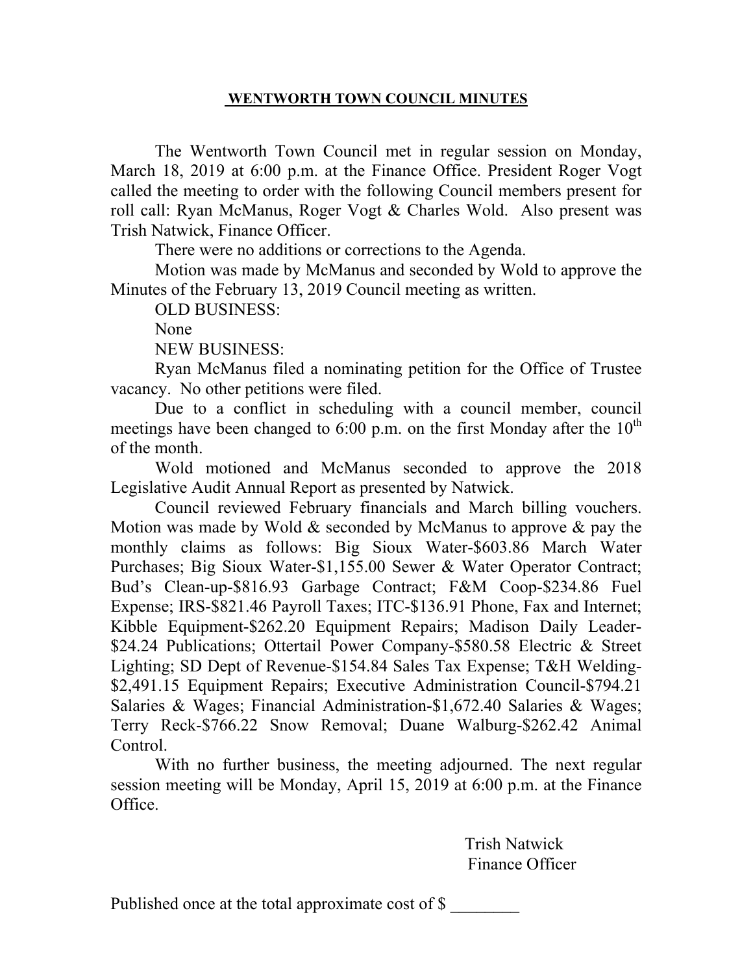The Wentworth Town Council met in regular session on Monday, March 18, 2019 at 6:00 p.m. at the Finance Office. President Roger Vogt called the meeting to order with the following Council members present for roll call: Ryan McManus, Roger Vogt & Charles Wold. Also present was Trish Natwick, Finance Officer.

There were no additions or corrections to the Agenda.

 Motion was made by McManus and seconded by Wold to approve the Minutes of the February 13, 2019 Council meeting as written.

OLD BUSINESS:

None

NEW BUSINESS:

 Ryan McManus filed a nominating petition for the Office of Trustee vacancy. No other petitions were filed.

 Due to a conflict in scheduling with a council member, council meetings have been changed to 6:00 p.m. on the first Monday after the  $10^{th}$ of the month.

Wold motioned and McManus seconded to approve the 2018 Legislative Audit Annual Report as presented by Natwick.

Council reviewed February financials and March billing vouchers. Motion was made by Wold  $\&$  seconded by McManus to approve  $\&$  pay the monthly claims as follows: Big Sioux Water-\$603.86 March Water Purchases; Big Sioux Water-\$1,155.00 Sewer & Water Operator Contract; Bud's Clean-up-\$816.93 Garbage Contract; F&M Coop-\$234.86 Fuel Expense; IRS-\$821.46 Payroll Taxes; ITC-\$136.91 Phone, Fax and Internet; Kibble Equipment-\$262.20 Equipment Repairs; Madison Daily Leader- \$24.24 Publications; Ottertail Power Company-\$580.58 Electric & Street Lighting; SD Dept of Revenue-\$154.84 Sales Tax Expense; T&H Welding- \$2,491.15 Equipment Repairs; Executive Administration Council-\$794.21 Salaries & Wages; Financial Administration-\$1,672.40 Salaries & Wages; Terry Reck-\$766.22 Snow Removal; Duane Walburg-\$262.42 Animal Control.

With no further business, the meeting adjourned. The next regular session meeting will be Monday, April 15, 2019 at 6:00 p.m. at the Finance Office.

> Trish Natwick Finance Officer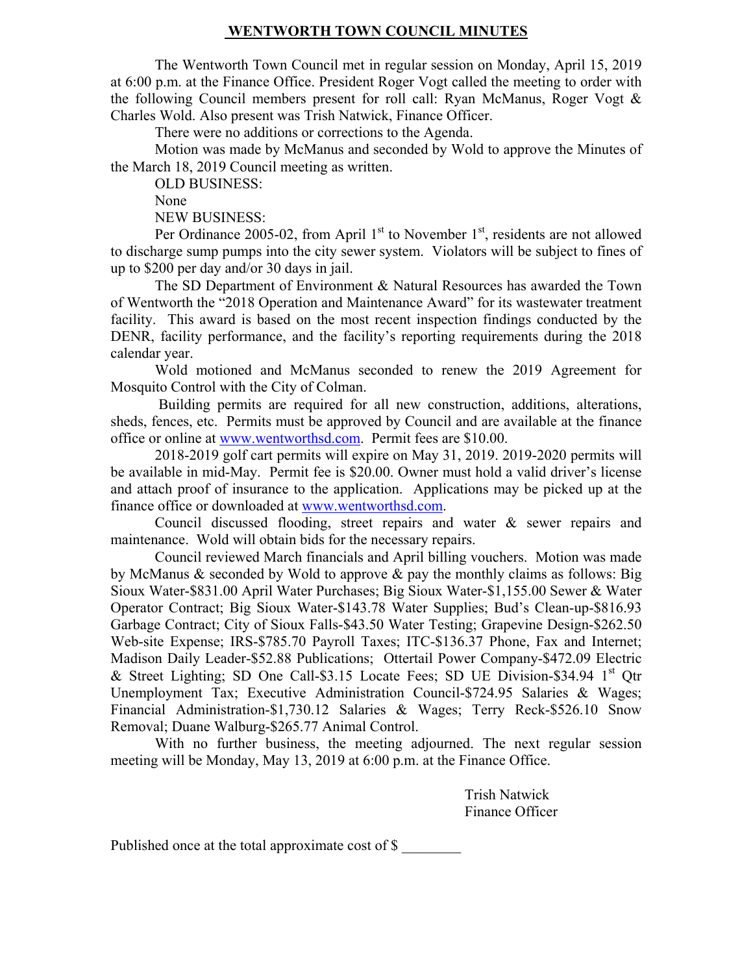The Wentworth Town Council met in regular session on Monday, April 15, 2019 at 6:00 p.m. at the Finance Office. President Roger Vogt called the meeting to order with the following Council members present for roll call: Ryan McManus, Roger Vogt & Charles Wold. Also present was Trish Natwick, Finance Officer.

There were no additions or corrections to the Agenda.

 Motion was made by McManus and seconded by Wold to approve the Minutes of the March 18, 2019 Council meeting as written.

OLD BUSINESS:

None

NEW BUSINESS:

Per Ordinance 2005-02, from April  $1<sup>st</sup>$  to November  $1<sup>st</sup>$ , residents are not allowed to discharge sump pumps into the city sewer system. Violators will be subject to fines of up to \$200 per day and/or 30 days in jail.

The SD Department of Environment & Natural Resources has awarded the Town of Wentworth the "2018 Operation and Maintenance Award" for its wastewater treatment facility. This award is based on the most recent inspection findings conducted by the DENR, facility performance, and the facility's reporting requirements during the 2018 calendar year.

Wold motioned and McManus seconded to renew the 2019 Agreement for Mosquito Control with the City of Colman.

 Building permits are required for all new construction, additions, alterations, sheds, fences, etc. Permits must be approved by Council and are available at the finance office or online at www.wentworthsd.com. Permit fees are \$10.00.

2018-2019 golf cart permits will expire on May 31, 2019. 2019-2020 permits will be available in mid-May. Permit fee is \$20.00. Owner must hold a valid driver's license and attach proof of insurance to the application. Applications may be picked up at the finance office or downloaded at www.wentworthsd.com.

Council discussed flooding, street repairs and water & sewer repairs and maintenance. Wold will obtain bids for the necessary repairs.

Council reviewed March financials and April billing vouchers. Motion was made by McManus  $\&$  seconded by Wold to approve  $\&$  pay the monthly claims as follows: Big Sioux Water-\$831.00 April Water Purchases; Big Sioux Water-\$1,155.00 Sewer & Water Operator Contract; Big Sioux Water-\$143.78 Water Supplies; Bud's Clean-up-\$816.93 Garbage Contract; City of Sioux Falls-\$43.50 Water Testing; Grapevine Design-\$262.50 Web-site Expense; IRS-\$785.70 Payroll Taxes; ITC-\$136.37 Phone, Fax and Internet; Madison Daily Leader-\$52.88 Publications; Ottertail Power Company-\$472.09 Electric & Street Lighting; SD One Call-\$3.15 Locate Fees; SD UE Division-\$34.94  $1<sup>st</sup>$  Qtr Unemployment Tax; Executive Administration Council-\$724.95 Salaries & Wages; Financial Administration-\$1,730.12 Salaries & Wages; Terry Reck-\$526.10 Snow Removal; Duane Walburg-\$265.77 Animal Control.

With no further business, the meeting adjourned. The next regular session meeting will be Monday, May 13, 2019 at 6:00 p.m. at the Finance Office.

> Trish Natwick Finance Officer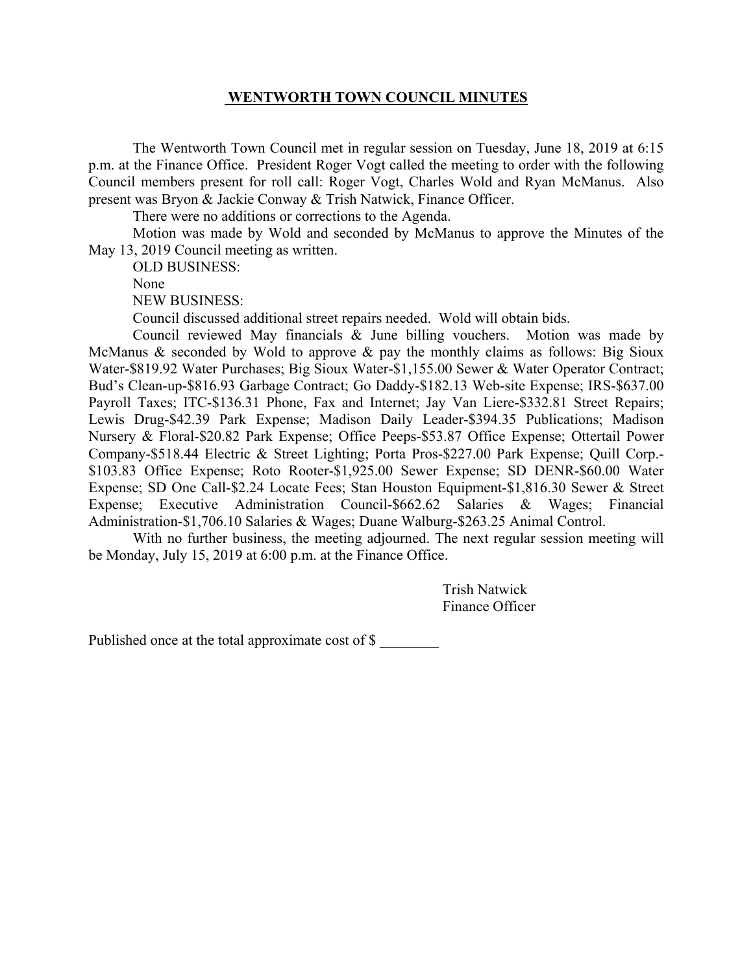The Wentworth Town Council met in regular session on Tuesday, June 18, 2019 at 6:15 p.m. at the Finance Office. President Roger Vogt called the meeting to order with the following Council members present for roll call: Roger Vogt, Charles Wold and Ryan McManus. Also present was Bryon & Jackie Conway & Trish Natwick, Finance Officer.

There were no additions or corrections to the Agenda.

 Motion was made by Wold and seconded by McManus to approve the Minutes of the May 13, 2019 Council meeting as written.

OLD BUSINESS:

None

NEW BUSINESS:

Council discussed additional street repairs needed. Wold will obtain bids.

Council reviewed May financials & June billing vouchers. Motion was made by McManus & seconded by Wold to approve & pay the monthly claims as follows: Big Sioux Water-\$819.92 Water Purchases; Big Sioux Water-\$1,155.00 Sewer & Water Operator Contract; Bud's Clean-up-\$816.93 Garbage Contract; Go Daddy-\$182.13 Web-site Expense; IRS-\$637.00 Payroll Taxes; ITC-\$136.31 Phone, Fax and Internet; Jay Van Liere-\$332.81 Street Repairs; Lewis Drug-\$42.39 Park Expense; Madison Daily Leader-\$394.35 Publications; Madison Nursery & Floral-\$20.82 Park Expense; Office Peeps-\$53.87 Office Expense; Ottertail Power Company-\$518.44 Electric & Street Lighting; Porta Pros-\$227.00 Park Expense; Quill Corp.- \$103.83 Office Expense; Roto Rooter-\$1,925.00 Sewer Expense; SD DENR-\$60.00 Water Expense; SD One Call-\$2.24 Locate Fees; Stan Houston Equipment-\$1,816.30 Sewer & Street Expense; Executive Administration Council-\$662.62 Salaries & Wages; Financial Administration-\$1,706.10 Salaries & Wages; Duane Walburg-\$263.25 Animal Control.

With no further business, the meeting adjourned. The next regular session meeting will be Monday, July 15, 2019 at 6:00 p.m. at the Finance Office.

> Trish Natwick Finance Officer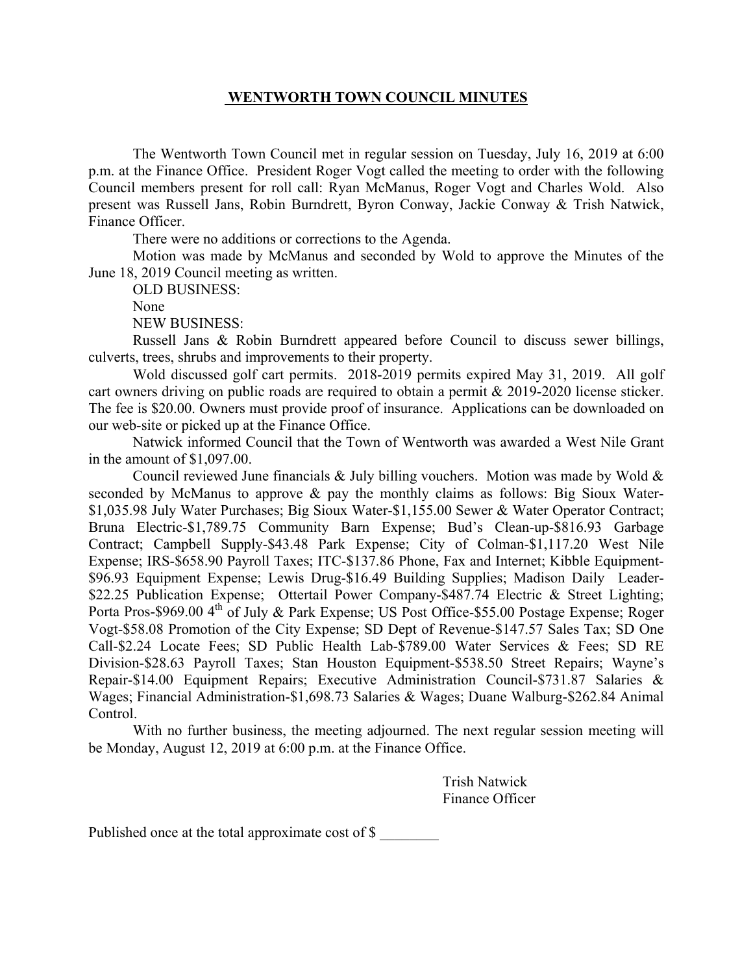The Wentworth Town Council met in regular session on Tuesday, July 16, 2019 at 6:00 p.m. at the Finance Office. President Roger Vogt called the meeting to order with the following Council members present for roll call: Ryan McManus, Roger Vogt and Charles Wold. Also present was Russell Jans, Robin Burndrett, Byron Conway, Jackie Conway & Trish Natwick, Finance Officer.

There were no additions or corrections to the Agenda.

 Motion was made by McManus and seconded by Wold to approve the Minutes of the June 18, 2019 Council meeting as written.

OLD BUSINESS:

None

NEW BUSINESS:

Russell Jans & Robin Burndrett appeared before Council to discuss sewer billings, culverts, trees, shrubs and improvements to their property.

Wold discussed golf cart permits. 2018-2019 permits expired May 31, 2019. All golf cart owners driving on public roads are required to obtain a permit & 2019-2020 license sticker. The fee is \$20.00. Owners must provide proof of insurance. Applications can be downloaded on our web-site or picked up at the Finance Office.

Natwick informed Council that the Town of Wentworth was awarded a West Nile Grant in the amount of \$1,097.00.

Council reviewed June financials & July billing vouchers. Motion was made by Wold  $\&$ seconded by McManus to approve & pay the monthly claims as follows: Big Sioux Water- \$1,035.98 July Water Purchases; Big Sioux Water-\$1,155.00 Sewer & Water Operator Contract; Bruna Electric-\$1,789.75 Community Barn Expense; Bud's Clean-up-\$816.93 Garbage Contract; Campbell Supply-\$43.48 Park Expense; City of Colman-\$1,117.20 West Nile Expense; IRS-\$658.90 Payroll Taxes; ITC-\$137.86 Phone, Fax and Internet; Kibble Equipment- \$96.93 Equipment Expense; Lewis Drug-\$16.49 Building Supplies; Madison Daily Leader- \$22.25 Publication Expense; Ottertail Power Company-\$487.74 Electric & Street Lighting; Porta Pros-\$969.00 4<sup>th</sup> of July & Park Expense; US Post Office-\$55.00 Postage Expense; Roger Vogt-\$58.08 Promotion of the City Expense; SD Dept of Revenue-\$147.57 Sales Tax; SD One Call-\$2.24 Locate Fees; SD Public Health Lab-\$789.00 Water Services & Fees; SD RE Division-\$28.63 Payroll Taxes; Stan Houston Equipment-\$538.50 Street Repairs; Wayne's Repair-\$14.00 Equipment Repairs; Executive Administration Council-\$731.87 Salaries & Wages; Financial Administration-\$1,698.73 Salaries & Wages; Duane Walburg-\$262.84 Animal Control.

 With no further business, the meeting adjourned. The next regular session meeting will be Monday, August 12, 2019 at 6:00 p.m. at the Finance Office.

> Trish Natwick Finance Officer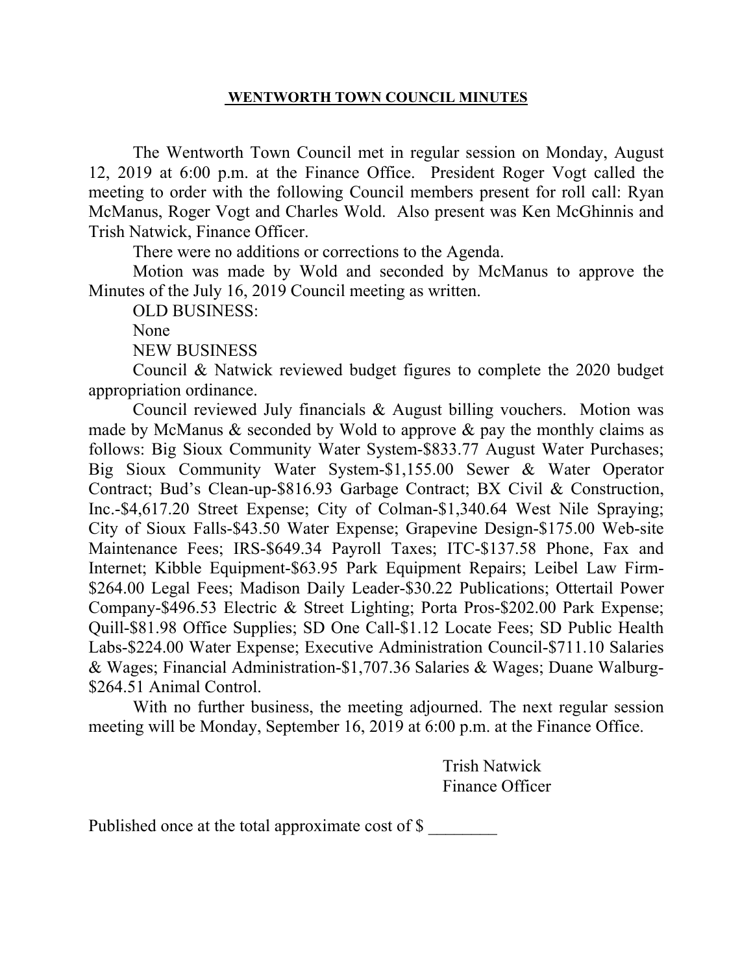The Wentworth Town Council met in regular session on Monday, August 12, 2019 at 6:00 p.m. at the Finance Office. President Roger Vogt called the meeting to order with the following Council members present for roll call: Ryan McManus, Roger Vogt and Charles Wold. Also present was Ken McGhinnis and Trish Natwick, Finance Officer.

There were no additions or corrections to the Agenda.

Motion was made by Wold and seconded by McManus to approve the Minutes of the July 16, 2019 Council meeting as written.

OLD BUSINESS:

None

NEW BUSINESS

Council & Natwick reviewed budget figures to complete the 2020 budget appropriation ordinance.

Council reviewed July financials & August billing vouchers. Motion was made by McManus  $&$  seconded by Wold to approve  $&$  pay the monthly claims as follows: Big Sioux Community Water System-\$833.77 August Water Purchases; Big Sioux Community Water System-\$1,155.00 Sewer & Water Operator Contract; Bud's Clean-up-\$816.93 Garbage Contract; BX Civil & Construction, Inc.-\$4,617.20 Street Expense; City of Colman-\$1,340.64 West Nile Spraying; City of Sioux Falls-\$43.50 Water Expense; Grapevine Design-\$175.00 Web-site Maintenance Fees; IRS-\$649.34 Payroll Taxes; ITC-\$137.58 Phone, Fax and Internet; Kibble Equipment-\$63.95 Park Equipment Repairs; Leibel Law Firm- \$264.00 Legal Fees; Madison Daily Leader-\$30.22 Publications; Ottertail Power Company-\$496.53 Electric & Street Lighting; Porta Pros-\$202.00 Park Expense; Quill-\$81.98 Office Supplies; SD One Call-\$1.12 Locate Fees; SD Public Health Labs-\$224.00 Water Expense; Executive Administration Council-\$711.10 Salaries & Wages; Financial Administration-\$1,707.36 Salaries & Wages; Duane Walburg- \$264.51 Animal Control.

 With no further business, the meeting adjourned. The next regular session meeting will be Monday, September 16, 2019 at 6:00 p.m. at the Finance Office.

> Trish Natwick Finance Officer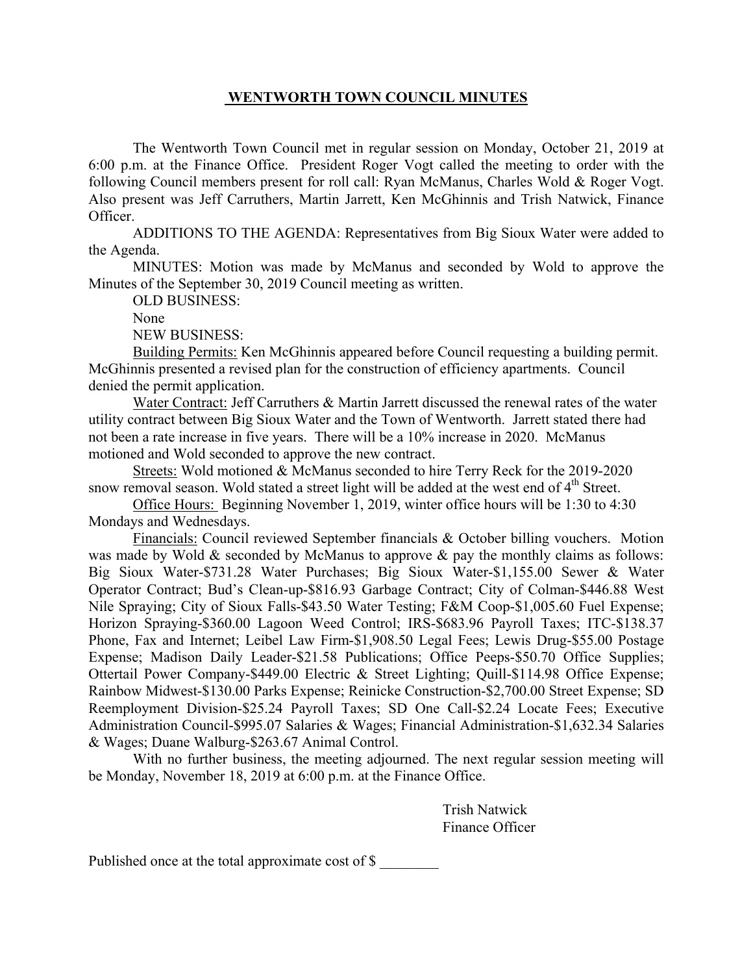The Wentworth Town Council met in regular session on Monday, October 21, 2019 at 6:00 p.m. at the Finance Office. President Roger Vogt called the meeting to order with the following Council members present for roll call: Ryan McManus, Charles Wold & Roger Vogt. Also present was Jeff Carruthers, Martin Jarrett, Ken McGhinnis and Trish Natwick, Finance Officer.

 ADDITIONS TO THE AGENDA: Representatives from Big Sioux Water were added to the Agenda.

 MINUTES: Motion was made by McManus and seconded by Wold to approve the Minutes of the September 30, 2019 Council meeting as written.

OLD BUSINESS:

None

NEW BUSINESS:

Building Permits: Ken McGhinnis appeared before Council requesting a building permit. McGhinnis presented a revised plan for the construction of efficiency apartments. Council denied the permit application.

Water Contract: Jeff Carruthers & Martin Jarrett discussed the renewal rates of the water utility contract between Big Sioux Water and the Town of Wentworth. Jarrett stated there had not been a rate increase in five years. There will be a 10% increase in 2020. McManus motioned and Wold seconded to approve the new contract.

Streets: Wold motioned & McManus seconded to hire Terry Reck for the 2019-2020 snow removal season. Wold stated a street light will be added at the west end of 4<sup>th</sup> Street.

Office Hours: Beginning November 1, 2019, winter office hours will be 1:30 to 4:30 Mondays and Wednesdays.

 Financials: Council reviewed September financials & October billing vouchers. Motion was made by Wold & seconded by McManus to approve & pay the monthly claims as follows: Big Sioux Water-\$731.28 Water Purchases; Big Sioux Water-\$1,155.00 Sewer & Water Operator Contract; Bud's Clean-up-\$816.93 Garbage Contract; City of Colman-\$446.88 West Nile Spraying; City of Sioux Falls-\$43.50 Water Testing; F&M Coop-\$1,005.60 Fuel Expense; Horizon Spraying-\$360.00 Lagoon Weed Control; IRS-\$683.96 Payroll Taxes; ITC-\$138.37 Phone, Fax and Internet; Leibel Law Firm-\$1,908.50 Legal Fees; Lewis Drug-\$55.00 Postage Expense; Madison Daily Leader-\$21.58 Publications; Office Peeps-\$50.70 Office Supplies; Ottertail Power Company-\$449.00 Electric & Street Lighting; Quill-\$114.98 Office Expense; Rainbow Midwest-\$130.00 Parks Expense; Reinicke Construction-\$2,700.00 Street Expense; SD Reemployment Division-\$25.24 Payroll Taxes; SD One Call-\$2.24 Locate Fees; Executive Administration Council-\$995.07 Salaries & Wages; Financial Administration-\$1,632.34 Salaries & Wages; Duane Walburg-\$263.67 Animal Control.

 With no further business, the meeting adjourned. The next regular session meeting will be Monday, November 18, 2019 at 6:00 p.m. at the Finance Office.

> Trish Natwick Finance Officer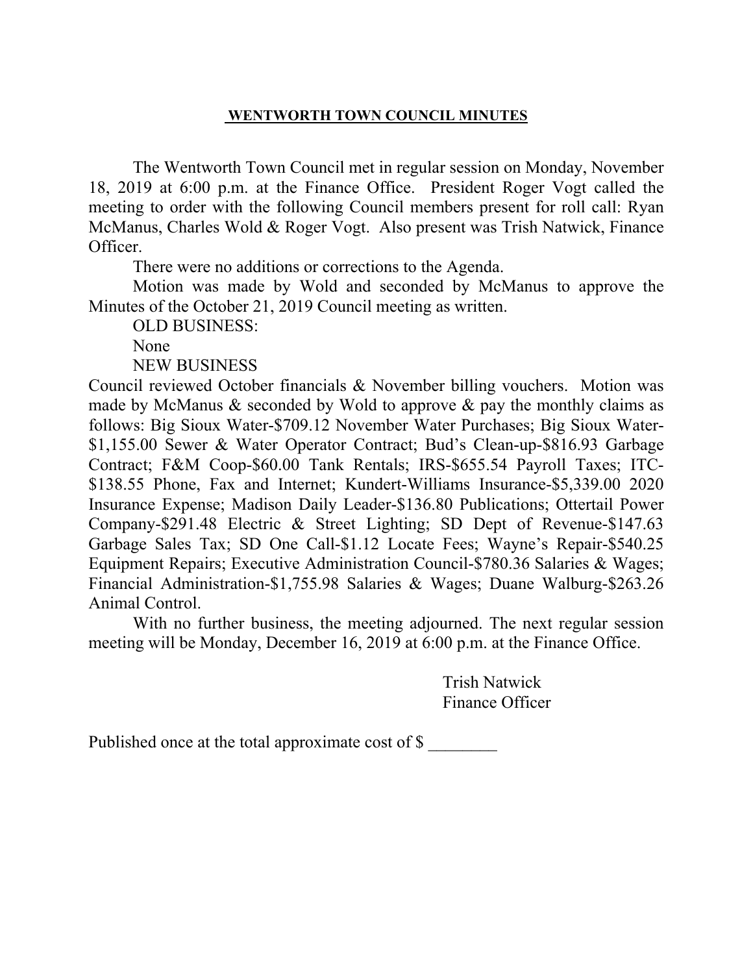The Wentworth Town Council met in regular session on Monday, November 18, 2019 at 6:00 p.m. at the Finance Office. President Roger Vogt called the meeting to order with the following Council members present for roll call: Ryan McManus, Charles Wold & Roger Vogt. Also present was Trish Natwick, Finance Officer.

There were no additions or corrections to the Agenda.

 Motion was made by Wold and seconded by McManus to approve the Minutes of the October 21, 2019 Council meeting as written.

OLD BUSINESS:

None

NEW BUSINESS

Council reviewed October financials & November billing vouchers. Motion was made by McManus  $\&$  seconded by Wold to approve  $\&$  pay the monthly claims as follows: Big Sioux Water-\$709.12 November Water Purchases; Big Sioux Water- \$1,155.00 Sewer & Water Operator Contract; Bud's Clean-up-\$816.93 Garbage Contract; F&M Coop-\$60.00 Tank Rentals; IRS-\$655.54 Payroll Taxes; ITC- \$138.55 Phone, Fax and Internet; Kundert-Williams Insurance-\$5,339.00 2020 Insurance Expense; Madison Daily Leader-\$136.80 Publications; Ottertail Power Company-\$291.48 Electric & Street Lighting; SD Dept of Revenue-\$147.63 Garbage Sales Tax; SD One Call-\$1.12 Locate Fees; Wayne's Repair-\$540.25 Equipment Repairs; Executive Administration Council-\$780.36 Salaries & Wages; Financial Administration-\$1,755.98 Salaries & Wages; Duane Walburg-\$263.26 Animal Control.

 With no further business, the meeting adjourned. The next regular session meeting will be Monday, December 16, 2019 at 6:00 p.m. at the Finance Office.

> Trish Natwick Finance Officer